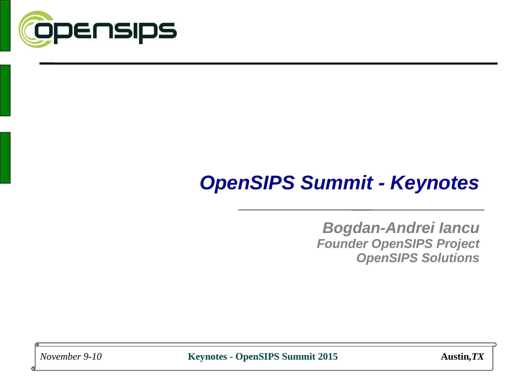

# *OpenSIPS Summit - Keynotes*

*Bogdan-Andrei Iancu Founder OpenSIPS Project OpenSIPS Solutions*

*November 9-10* **Keynotes - OpenSIPS Summit 2015 Austin***,TX*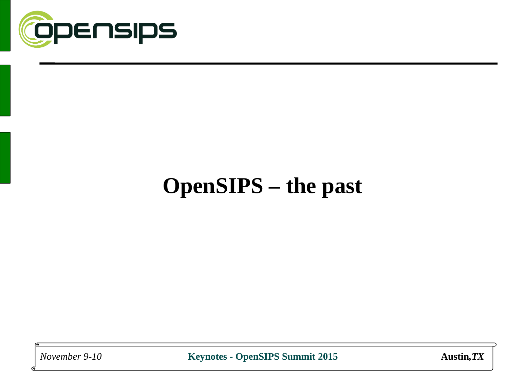

# **OpenSIPS – the past**

*November 9-10* **Keynotes - OpenSIPS Summit 2015 Austin***,TX*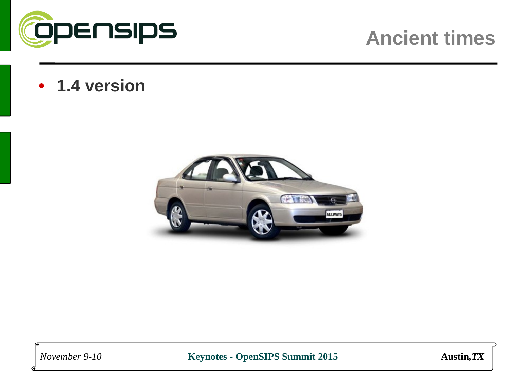

## **Ancient times**

• **1.4 version**



*November 9-10* **Keynotes - OpenSIPS Summit 2015 Austin***,TX*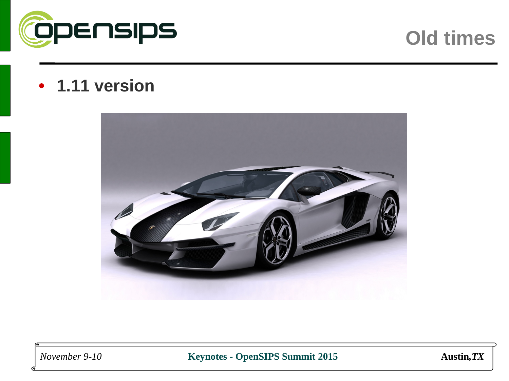

### **Old times**

#### • **1.11 version**



*November 9-10* **Keynotes - OpenSIPS Summit 2015 Austin***,TX*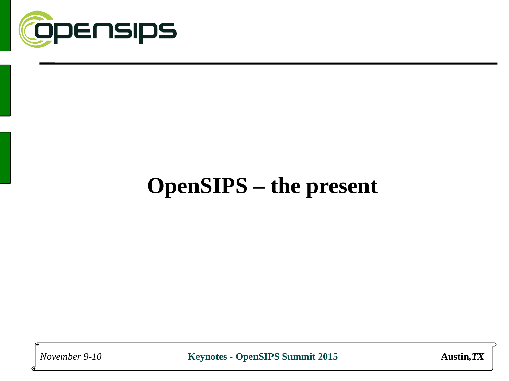

# **OpenSIPS – the present**

*November 9-10* **Keynotes - OpenSIPS Summit 2015 Austin***,TX*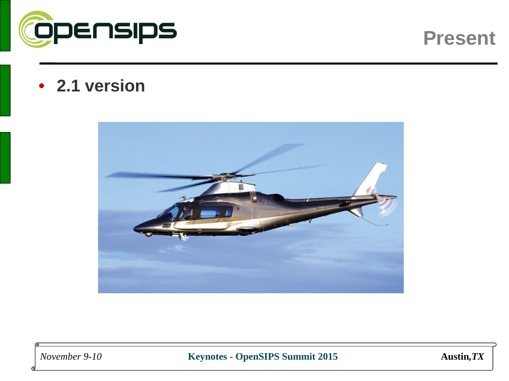

#### **Present**

#### • **2.1 version**



*November 9-10* **Keynotes - OpenSIPS Summit 2015 Austin***,TX*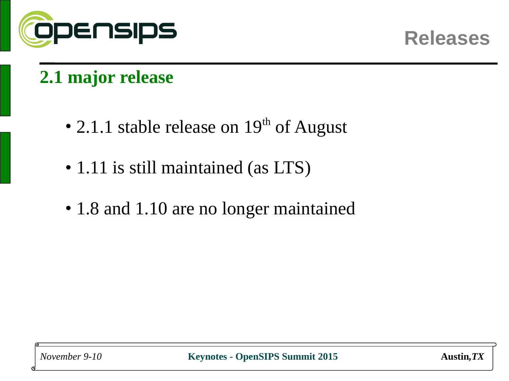

### **2.1 major release**

- 2.1.1 stable release on  $19<sup>th</sup>$  of August
- 1.11 is still maintained (as LTS)
- 1.8 and 1.10 are no longer maintained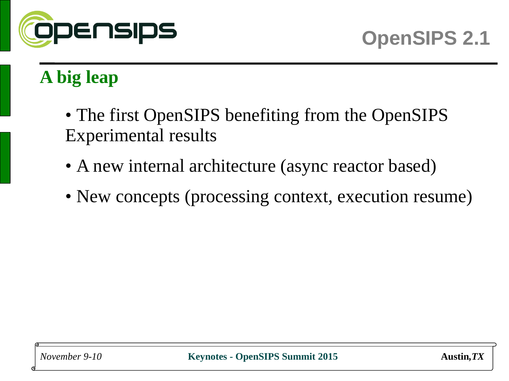

# **A big leap**

- The first OpenSIPS benefiting from the OpenSIPS Experimental results
- A new internal architecture (async reactor based)
- New concepts (processing context, execution resume)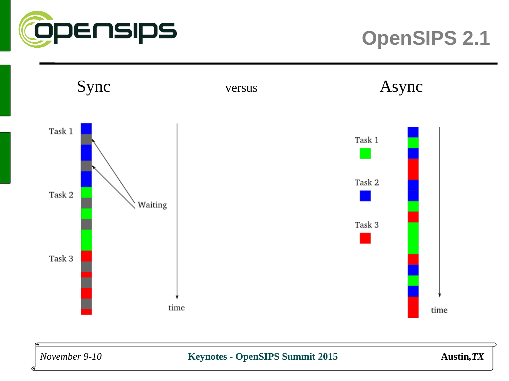



#### *November 9-10* **Keynotes - OpenSIPS Summit 2015 Austin***,TX*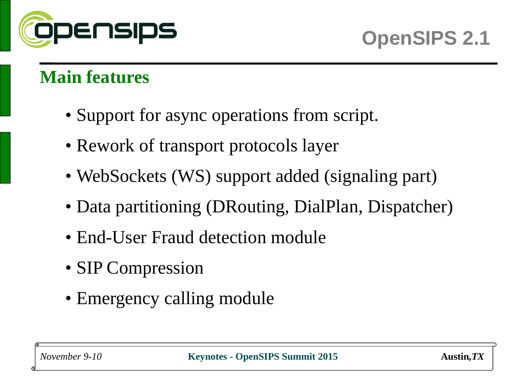

#### **Main features**

- Support for async operations from script.
- Rework of transport protocols layer
- WebSockets (WS) support added (signaling part)
- Data partitioning (DRouting, DialPlan, Dispatcher)
- End-User Fraud detection module
- SIP Compression
- Emergency calling module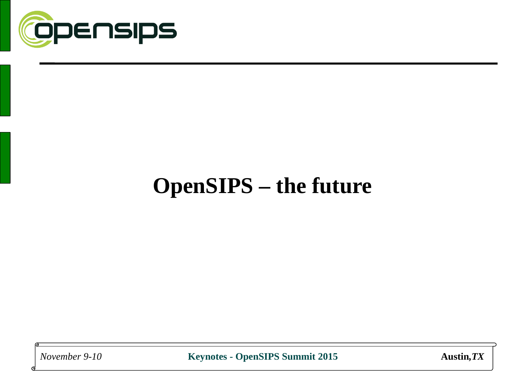

# **OpenSIPS – the future**

*November 9-10* **Keynotes - OpenSIPS Summit 2015 Austin***,TX*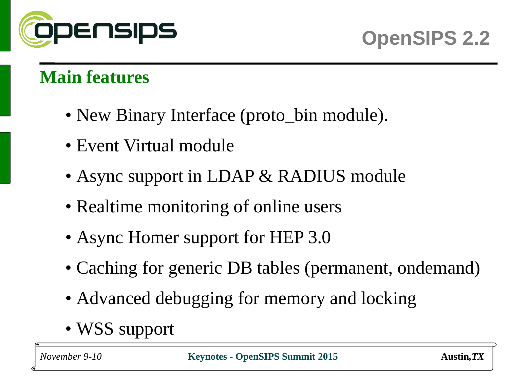

#### **Main features**

- New Binary Interface (proto\_bin module).
- Event Virtual module
- Async support in LDAP & RADIUS module
- Realtime monitoring of online users
- Async Homer support for HEP 3.0
- Caching for generic DB tables (permanent, ondemand)
- Advanced debugging for memory and locking
- WSS support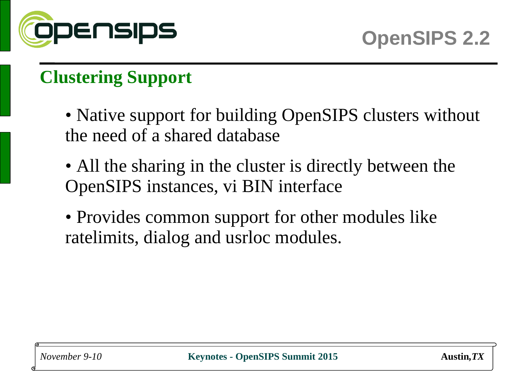

## **Clustering Support**

- Native support for building OpenSIPS clusters without the need of a shared database
- All the sharing in the cluster is directly between the OpenSIPS instances, vi BIN interface
- Provides common support for other modules like ratelimits, dialog and usrloc modules.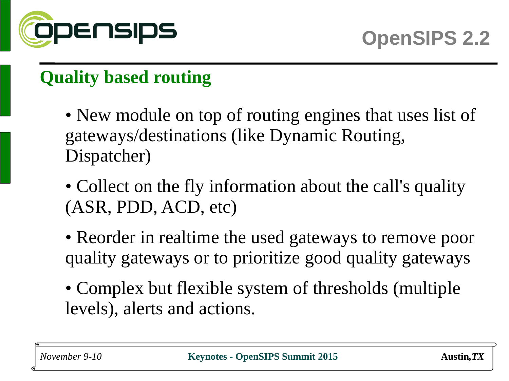

## **Quality based routing**

- New module on top of routing engines that uses list of gateways/destinations (like Dynamic Routing, Dispatcher)
- Collect on the fly information about the call's quality (ASR, PDD, ACD, etc)
- Reorder in realtime the used gateways to remove poor quality gateways or to prioritize good quality gateways
- Complex but flexible system of thresholds (multiple levels), alerts and actions.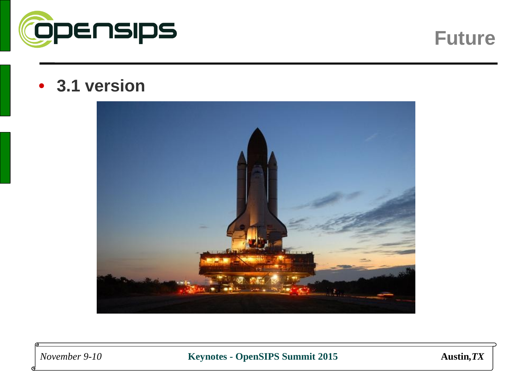

**Future**

#### • **3.1 version**



*November 9-10* **Keynotes - OpenSIPS Summit 2015 Austin***,TX*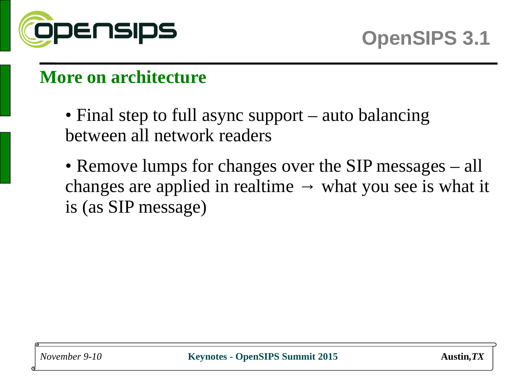

#### **More on architecture**

- Final step to full async support auto balancing between all network readers
- Remove lumps for changes over the SIP messages all changes are applied in realtime  $\rightarrow$  what you see is what it is (as SIP message)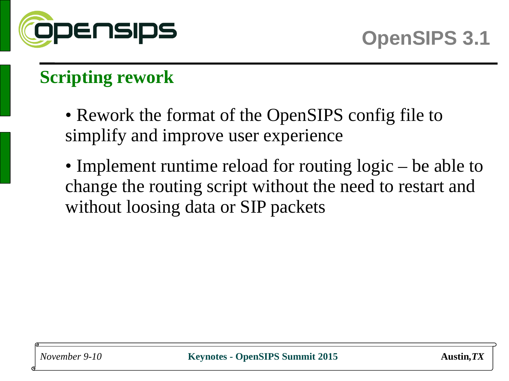

## **Scripting rework**

- Rework the format of the OpenSIPS config file to simplify and improve user experience
- Implement runtime reload for routing logic be able to change the routing script without the need to restart and without loosing data or SIP packets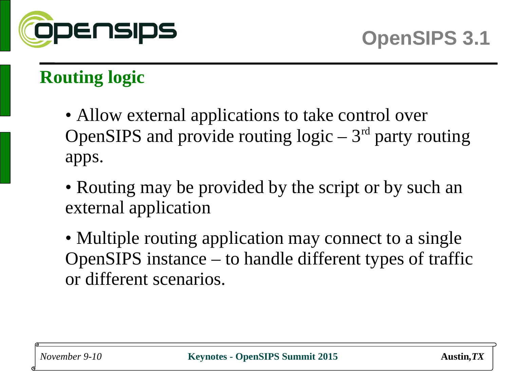

## **Routing logic**

- Allow external applications to take control over OpenSIPS and provide routing  $logic - 3<sup>rd</sup>$  party routing apps.
- Routing may be provided by the script or by such an external application
- Multiple routing application may connect to a single OpenSIPS instance – to handle different types of traffic or different scenarios.